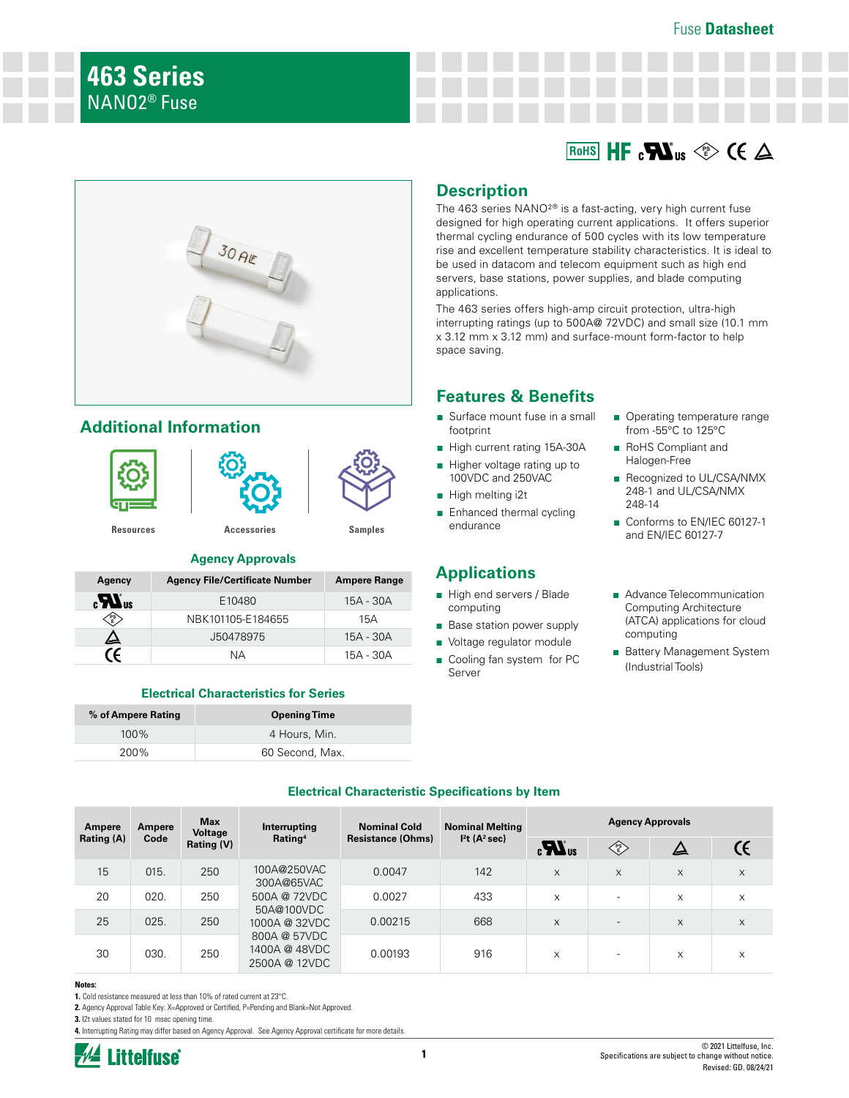



# **Additional Information**







## **Agency Approvals**

| Agency           | <b>Agency File/Certificate Number</b> | <b>Ampere Range</b> |
|------------------|---------------------------------------|---------------------|
| $\boldsymbol{u}$ | E10480                                | 15A - 30A           |
| PS)              | NBK101105-E184655                     | 15A                 |
| 丛                | J50478975                             | 15A - 30A           |
|                  | NΑ                                    | 15A - 30A           |

## **Electrical Characteristics for Series**

| % of Ampere Rating | <b>Opening Time</b> |  |
|--------------------|---------------------|--|
| $100\%$            | 4 Hours, Min.       |  |
| 200%               | 60 Second, Max.     |  |

# **Description**

The 463 series NANO²® is a fast-acting, very high current fuse designed for high operating current applications. It offers superior thermal cycling endurance of 500 cycles with its low temperature rise and excellent temperature stability characteristics. It is ideal to be used in datacom and telecom equipment such as high end servers, base stations, power supplies, and blade computing applications.

The 463 series offers high-amp circuit protection, ultra-high interrupting ratings (up to 500A@ 72VDC) and small size (10.1 mm x 3.12 mm x 3.12 mm) and surface-mount form-factor to help space saving.

# **Features & Benefits**

- Surface mount fuse in a small footprint
- High current rating 15A-30A
- Higher voltage rating up to 100VDC and 250VAC
- High melting i2t
- Enhanced thermal cycling endurance

# **Applications**

- High end servers / Blade computing
- Base station power supply
- Voltage regulator module
- Cooling fan system for PC Server
- Operating temperature range from -55°C to 125°C
- RoHS Compliant and Halogen-Free
- Recognized to UL/CSA/NMX 248-1 and UL/CSA/NMX 248-14
- Conforms to EN/IEC 60127-1 and EN/IEC 60127-7
- Advance Telecommunication Computing Architecture (ATCA) applications for cloud computing
- Battery Management System (Industrial Tools)

| <b>Electrical Characteristic Specifications by Item</b> |           |                                |  |  |
|---------------------------------------------------------|-----------|--------------------------------|--|--|
|                                                         | $M = 100$ | Marchanter of Milandelphia and |  |  |

| Ampere | <b>Max</b><br><b>Nominal Cold</b><br>Interrupting<br>Ampere<br><b>Voltage</b><br>Rating <sup>4</sup><br><b>Resistance (Ohms)</b><br>Rating (A)<br>Code<br>Rating (V) |                                       |                                                |                                                                                |     | <b>Nominal Melting</b> |                          |          | <b>Agency Approvals</b> |  |
|--------|----------------------------------------------------------------------------------------------------------------------------------------------------------------------|---------------------------------------|------------------------------------------------|--------------------------------------------------------------------------------|-----|------------------------|--------------------------|----------|-------------------------|--|
|        |                                                                                                                                                                      | I <sup>2</sup> t (A <sup>2</sup> sec) | $\boldsymbol{H}_3$                             | $\left\langle \begin{matrix} \text{PS} \ \text{ES} \end{matrix} \right\rangle$ |     |                        |                          |          |                         |  |
| 15     | 015.                                                                                                                                                                 | 250                                   | 100A@250VAC<br>300A@65VAC                      | 0.0047                                                                         | 142 | X                      | X                        | $\times$ | X                       |  |
| 20     | 020.                                                                                                                                                                 | 250                                   | 500A @ 72VDC<br>50A@100VDC                     | 0.0027                                                                         | 433 | X                      | $\overline{\phantom{0}}$ | X        | X                       |  |
| 25     | 025.                                                                                                                                                                 | 250                                   | 1000A @ 32VDC                                  | 0.00215                                                                        | 668 | $\times$               | $\overline{\phantom{a}}$ | X        | X                       |  |
| 30     | 030.                                                                                                                                                                 | 250                                   | 800A @ 57VDC<br>1400A @ 48VDC<br>2500A @ 12VDC | 0.00193                                                                        | 916 | X                      |                          | X        | X                       |  |

#### **Notes:**

**1.** Cold resistance measured at less than 10% of rated current at 23°C.

2. Agency Approval Table Key: X=Approved or Certified, P=Pending and Blank=Not Approved.

**3.** I2t values stated for 10 msec opening time.

**4.** Interrupting Rating may differ based on Agency Approval. See Agency Approval certificate for more details.



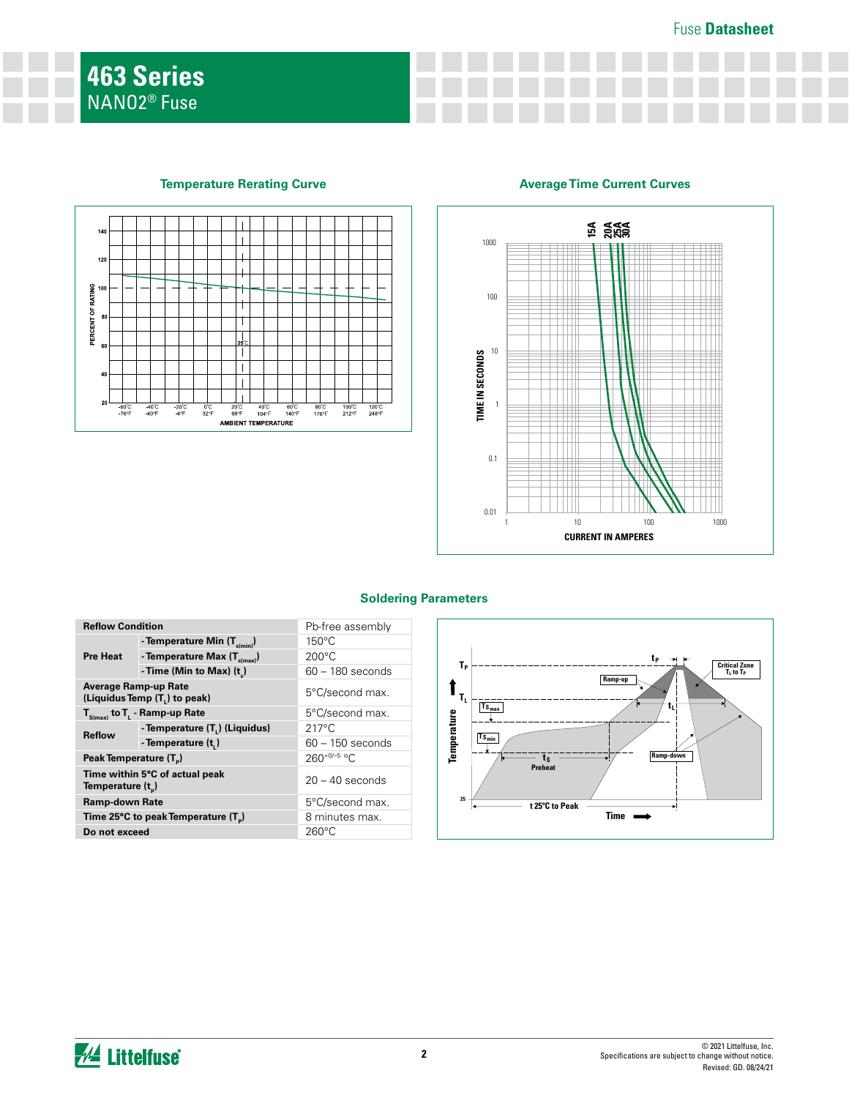

## **Temperature Rerating Curve Average Time Current Curves**



# **Soldering Parameters**

| <b>Reflow Condition</b>                         |                                           | Pb-free assembly   |
|-------------------------------------------------|-------------------------------------------|--------------------|
| <b>Pre Heat</b>                                 | - Temperature Min (T <sub>s(min)</sub> )  | $150^{\circ}$ C    |
|                                                 | - Temperature Max $(T_{s(max)})$          | $200^{\circ}$ C    |
|                                                 | - Time (Min to Max) $(t_2)$               | $60 - 180$ seconds |
| <b>Average Ramp-up Rate</b>                     | (Liquidus Temp (T <sub>1</sub> ) to peak) | 5°C/second max.    |
|                                                 | $T_{S(max)}$ to $T_{L}$ - Ramp-up Rate    | 5°C/second max.    |
| <b>Reflow</b>                                   | - Temperature (T.) (Liquidus)             | $217^{\circ}$ C    |
|                                                 | - Temperature (t.)                        | $60 - 150$ seconds |
| Peak Temperature (T <sub>n</sub> )              |                                           | $260^{+0/-5}$ °C   |
| Temperature $(t_n)$                             | Time within 5°C of actual peak            | $20 - 40$ seconds  |
| <b>Ramp-down Rate</b>                           |                                           | 5°C/second max.    |
| Time 25°C to peak Temperature (T <sub>a</sub> ) |                                           | 8 minutes max.     |
| Do not exceed                                   |                                           | 260°C              |